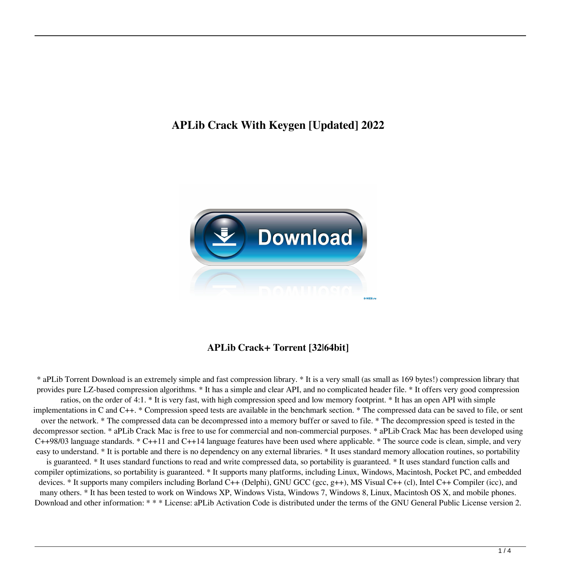# **APLib Crack With Keygen [Updated] 2022**



# **APLib Crack+ Torrent [32|64bit]**

\* aPLib Torrent Download is an extremely simple and fast compression library. \* It is a very small (as small as 169 bytes!) compression library that provides pure LZ-based compression algorithms. \* It has a simple and clear API, and no complicated header file. \* It offers very good compression ratios, on the order of 4:1. \* It is very fast, with high compression speed and low memory footprint. \* It has an open API with simple implementations in C and C++. \* Compression speed tests are available in the benchmark section. \* The compressed data can be saved to file, or sent over the network. \* The compressed data can be decompressed into a memory buffer or saved to file. \* The decompression speed is tested in the decompressor section. \* aPLib Crack Mac is free to use for commercial and non-commercial purposes. \* aPLib Crack Mac has been developed using C++98/03 language standards. \* C++11 and C++14 language features have been used where applicable. \* The source code is clean, simple, and very easy to understand. \* It is portable and there is no dependency on any external libraries. \* It uses standard memory allocation routines, so portability is guaranteed. \* It uses standard functions to read and write compressed data, so portability is guaranteed. \* It uses standard function calls and compiler optimizations, so portability is guaranteed. \* It supports many platforms, including Linux, Windows, Macintosh, Pocket PC, and embedded devices. \* It supports many compilers including Borland C++ (Delphi), GNU GCC (gcc, g++), MS Visual C++ (cl), Intel C++ Compiler (icc), and many others. \* It has been tested to work on Windows XP, Windows Vista, Windows 7, Windows 8, Linux, Macintosh OS X, and mobile phones. Download and other information: \* \* \* License: aPLib Activation Code is distributed under the terms of the GNU General Public License version 2.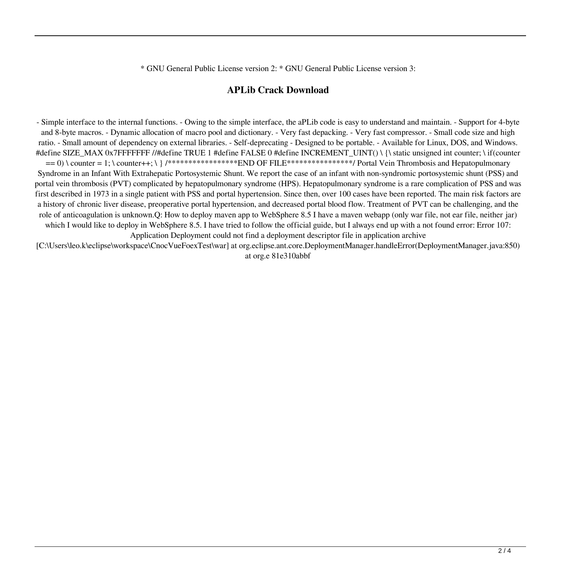\* GNU General Public License version 2: \* GNU General Public License version 3:

#### **APLib Crack Download**

- Simple interface to the internal functions. - Owing to the simple interface, the aPLib code is easy to understand and maintain. - Support for 4-byte and 8-byte macros. - Dynamic allocation of macro pool and dictionary. - Very fast depacking. - Very fast compressor. - Small code size and high ratio. - Small amount of dependency on external libraries. - Self-deprecating - Designed to be portable. - Available for Linux, DOS, and Windows. #define SIZE\_MAX 0x7FFFFFFF //#define TRUE 1 #define FALSE 0 #define INCREMENT\_UINT() \ {\ static unsigned int counter; \ if(counter  $= 0$ ) \ counter = 1; \ counter++; \ } /\*\*\*\*\*\*\*\*\*\*\*\*\*\*\*\*\*\*END OF FILE\*\*\*\*\*\*\*\*\*\*\*\*\*\*\*/ Portal Vein Thrombosis and Hepatopulmonary Syndrome in an Infant With Extrahepatic Portosystemic Shunt. We report the case of an infant with non-syndromic portosystemic shunt (PSS) and portal vein thrombosis (PVT) complicated by hepatopulmonary syndrome (HPS). Hepatopulmonary syndrome is a rare complication of PSS and was first described in 1973 in a single patient with PSS and portal hypertension. Since then, over 100 cases have been reported. The main risk factors are a history of chronic liver disease, preoperative portal hypertension, and decreased portal blood flow. Treatment of PVT can be challenging, and the role of anticoagulation is unknown.Q: How to deploy maven app to WebSphere 8.5 I have a maven webapp (only war file, not ear file, neither jar) which I would like to deploy in WebSphere 8.5. I have tried to follow the official guide, but I always end up with a not found error: Error 107: Application Deployment could not find a deployment descriptor file in application archive

[C:\Users\leo.k\eclipse\workspace\CnocVueFoexTest\war] at org.eclipse.ant.core.DeploymentManager.handleError(DeploymentManager.java:850) at org.e 81e310abbf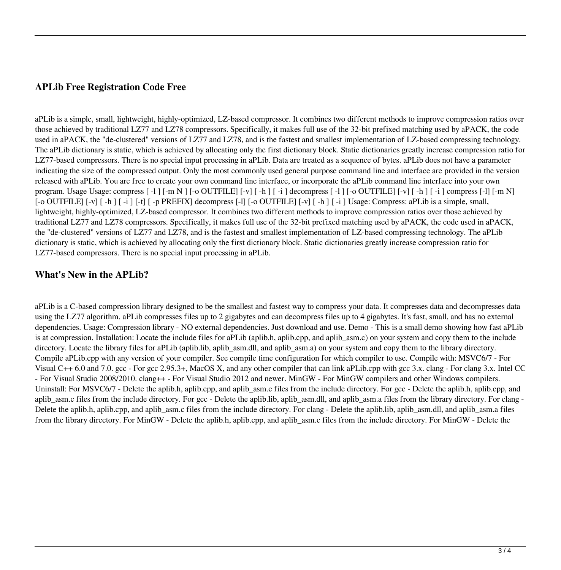## **APLib Free Registration Code Free**

aPLib is a simple, small, lightweight, highly-optimized, LZ-based compressor. It combines two different methods to improve compression ratios over those achieved by traditional LZ77 and LZ78 compressors. Specifically, it makes full use of the 32-bit prefixed matching used by aPACK, the code used in aPACK, the "de-clustered" versions of LZ77 and LZ78, and is the fastest and smallest implementation of LZ-based compressing technology. The aPLib dictionary is static, which is achieved by allocating only the first dictionary block. Static dictionaries greatly increase compression ratio for LZ77-based compressors. There is no special input processing in aPLib. Data are treated as a sequence of bytes. aPLib does not have a parameter indicating the size of the compressed output. Only the most commonly used general purpose command line and interface are provided in the version released with aPLib. You are free to create your own command line interface, or incorporate the aPLib command line interface into your own program. Usage Usage: compress [ -l ] [-m N ] [-o OUTFILE] [-v] [ -h ] [ -i ] decompress [ -l ] [-o OUTFILE] [-v] [ -h ] [ -i ] compress [-l] [-m N]  $[-\text{O}}\text{OUTFILE}]\left[-\text{V}\right]\left[-\text{P}\right]$  [-t]  $[-\text{P}$  PREFIX] decompress  $[-\text{I}]$   $[-\text{O}$  OUTFILE]  $[-\text{V}]$   $[-\text{h}]$   $[-\text{i}]$  Usage: Compress: aPLib is a simple, small, lightweight, highly-optimized, LZ-based compressor. It combines two different methods to improve compression ratios over those achieved by traditional LZ77 and LZ78 compressors. Specifically, it makes full use of the 32-bit prefixed matching used by aPACK, the code used in aPACK, the "de-clustered" versions of LZ77 and LZ78, and is the fastest and smallest implementation of LZ-based compressing technology. The aPLib dictionary is static, which is achieved by allocating only the first dictionary block. Static dictionaries greatly increase compression ratio for LZ77-based compressors. There is no special input processing in aPLib.

### **What's New in the APLib?**

aPLib is a C-based compression library designed to be the smallest and fastest way to compress your data. It compresses data and decompresses data using the LZ77 algorithm. aPLib compresses files up to 2 gigabytes and can decompress files up to 4 gigabytes. It's fast, small, and has no external dependencies. Usage: Compression library - NO external dependencies. Just download and use. Demo - This is a small demo showing how fast aPLib is at compression. Installation: Locate the include files for aPLib (aplib.h, aplib.cpp, and aplib asm.c) on your system and copy them to the include directory. Locate the library files for aPLib (aplib.lib, aplib\_asm.dll, and aplib\_asm.a) on your system and copy them to the library directory. Compile aPLib.cpp with any version of your compiler. See compile time configuration for which compiler to use. Compile with: MSVC6/7 - For Visual C++ 6.0 and 7.0. gcc - For gcc 2.95.3+, MacOS X, and any other compiler that can link aPLib.cpp with gcc 3.x. clang - For clang 3.x. Intel CC - For Visual Studio 2008/2010. clang++ - For Visual Studio 2012 and newer. MinGW - For MinGW compilers and other Windows compilers. Uninstall: For MSVC6/7 - Delete the aplib.h, aplib.cpp, and aplib asm.c files from the include directory. For gcc - Delete the aplib.h, aplib.cpp, and aplib\_asm.c files from the include directory. For gcc - Delete the aplib.lib, aplib\_asm.dll, and aplib\_asm.a files from the library directory. For clang -Delete the aplib.h, aplib.cpp, and aplib asm.c files from the include directory. For clang - Delete the aplib.lib, aplib asm.dll, and aplib asm.a files from the library directory. For MinGW - Delete the aplib.h, aplib.cpp, and aplib\_asm.c files from the include directory. For MinGW - Delete the